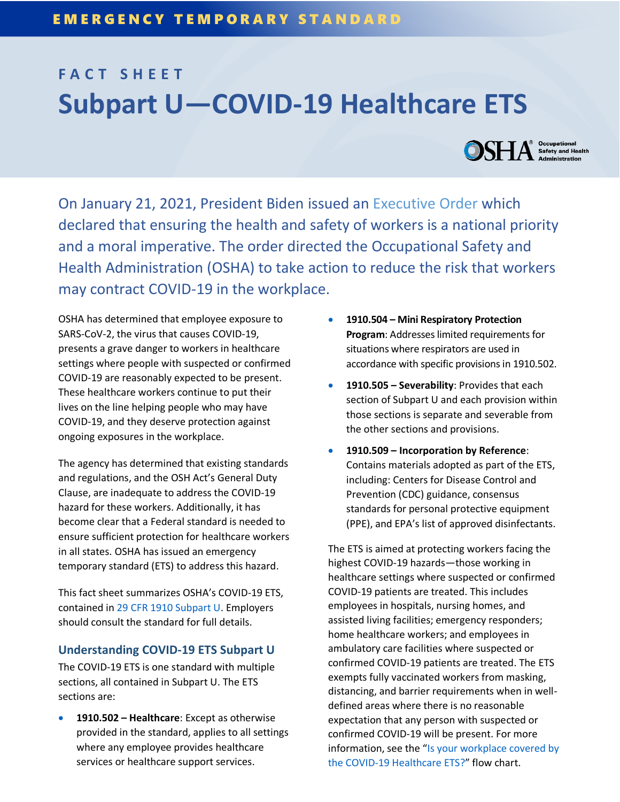## **F A C T S H E E T Subpart U—COVID-19 Healthcare ETS OSHA**<sup><sup>o</sup> Occupational<br>A safety and Health</sup>

On January 21, 2021, President Biden issued an [Executive Order](https://www.whitehouse.gov/briefing-room/presidential-actions/2021/01/21/executive-order-protecting-worker-health-and-safety/) which declared that ensuring the health and safety of workers is a national priority and a moral imperative. The order directed the Occupational Safety and Health Administration (OSHA) to take action to reduce the risk that workers may contract COVID-19 in the workplace.

OSHA has determined that employee exposure to SARS-CoV-2, the virus that causes COVID-19, presents a grave danger to workers in healthcare settings where people with suspected or confirmed COVID-19 are reasonably expected to be present. These healthcare workers continue to put their lives on the line helping people who may have COVID-19, and they deserve protection against ongoing exposures in the workplace.

The agency has determined that existing standards and regulations, and the OSH Act's General Duty Clause, are inadequate to address the COVID-19 hazard for these workers. Additionally, it has become clear that a Federal standard is needed to ensure sufficient protection for healthcare workers in all states. OSHA has issued an emergency temporary standard (ETS) to address this hazard.

This fact sheet summarizes OSHA's COVID-19 ETS, contained i[n 29 CFR 1910 Subpart U.](https://www.osha.gov/coronavirus/ets) Employers should consult the standard for full details.

## **Understanding COVID-19 ETS Subpart U**

The COVID-19 ETS is one standard with multiple sections, all contained in Subpart U. The ETS sections are:

 **1910.502 – Healthcare**: Except as otherwise provided in the standard, applies to all settings where any employee provides healthcare services or healthcare support services.

- **1910.504 – Mini Respiratory Protection Program**: Addresses limited requirements for situations where respirators are used in accordance with specific provisions in 1910.502.
- **1910.505 – Severability**: Provides that each section of Subpart U and each provision within those sections is separate and severable from the other sections and provisions.
- **1910.509 – Incorporation by Reference**: Contains materials adopted as part of the ETS, including: Centers for Disease Control and Prevention (CDC) guidance, consensus standards for personal protective equipment (PPE), and EPA's list of approved disinfectants.

The ETS is aimed at protecting workers facing the highest COVID-19 hazards—those working in healthcare settings where suspected or confirmed COVID-19 patients are treated. This includes employees in hospitals, nursing homes, and assisted living facilities; emergency responders; home healthcare workers; and employees in ambulatory care facilities where suspected or confirmed COVID-19 patients are treated. The ETS exempts fully vaccinated workers from masking, distancing, and barrier requirements when in welldefined areas where there is no reasonable expectation that any person with suspected or confirmed COVID-19 will be present. For more information, see the "[Is your workplace covered by](https://www.osha.gov/sites/default/files/publications/OSHA4125.pdf)  [the COVID-19 Healthcare ETS?](https://www.osha.gov/sites/default/files/publications/OSHA4125.pdf)" flow chart.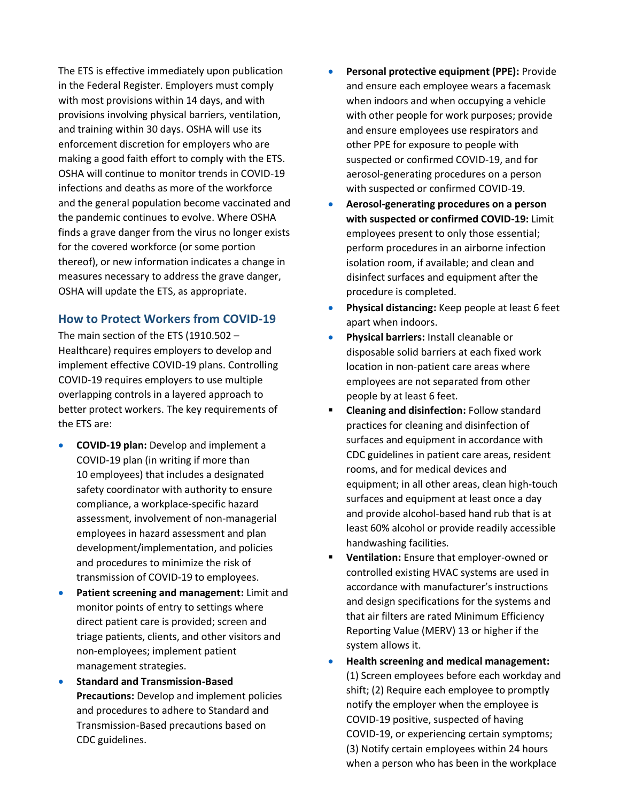The ETS is effective immediately upon publication in the Federal Register. Employers must comply with most provisions within 14 days, and with provisions involving physical barriers, ventilation, and training within 30 days. OSHA will use its enforcement discretion for employers who are making a good faith effort to comply with the ETS. OSHA will continue to monitor trends in COVID-19 infections and deaths as more of the workforce and the general population become vaccinated and the pandemic continues to evolve. Where OSHA finds a grave danger from the virus no longer exists for the covered workforce (or some portion thereof), or new information indicates a change in measures necessary to address the grave danger, OSHA will update the ETS, as appropriate.

## **How to Protect Workers from COVID-19**

The main section of the ETS (1910.502 – Healthcare) requires employers to develop and implement effective COVID-19 plans. Controlling COVID-19 requires employers to use multiple overlapping controls in a layered approach to better protect workers. The key requirements of the ETS are:

- **COVID-19 plan:** Develop and implement a COVID-19 plan (in writing if more than 10 employees) that includes a designated safety coordinator with authority to ensure compliance, a workplace-specific hazard assessment, involvement of non-managerial employees in hazard assessment and plan development/implementation, and policies and procedures to minimize the risk of transmission of COVID-19 to employees.
- **Patient screening and management:** Limit and monitor points of entry to settings where direct patient care is provided; screen and triage patients, clients, and other visitors and non-employees; implement patient management strategies.
- **Standard and Transmission-Based Precautions:** Develop and implement policies and procedures to adhere to Standard and Transmission-Based precautions based on CDC guidelines.
- **Personal protective equipment (PPE):** Provide and ensure each employee wears a facemask when indoors and when occupying a vehicle with other people for work purposes; provide and ensure employees use respirators and other PPE for exposure to people with suspected or confirmed COVID-19, and for aerosol-generating procedures on a person with suspected or confirmed COVID-19.
- **Aerosol-generating procedures on a person with suspected or confirmed COVID-19:** Limit employees present to only those essential; perform procedures in an airborne infection isolation room, if available; and clean and disinfect surfaces and equipment after the procedure is completed.
- **Physical distancing:** Keep people at least 6 feet apart when indoors.
- **Physical barriers:** Install cleanable or disposable solid barriers at each fixed work location in non-patient care areas where employees are not separated from other people by at least 6 feet.
- **EXECTE:** Cleaning and disinfection: Follow standard practices for cleaning and disinfection of surfaces and equipment in accordance with CDC guidelines in patient care areas, resident rooms, and for medical devices and equipment; in all other areas, clean high-touch surfaces and equipment at least once a day and provide alcohol-based hand rub that is at least 60% alcohol or provide readily accessible handwashing facilities.
- **Ventilation:** Ensure that employer-owned or controlled existing HVAC systems are used in accordance with manufacturer's instructions and design specifications for the systems and that air filters are rated Minimum Efficiency Reporting Value (MERV) 13 or higher if the system allows it.
- **Health screening and medical management:**  (1) Screen employees before each workday and shift; (2) Require each employee to promptly notify the employer when the employee is COVID-19 positive, suspected of having COVID-19, or experiencing certain symptoms; (3) Notify certain employees within 24 hours when a person who has been in the workplace